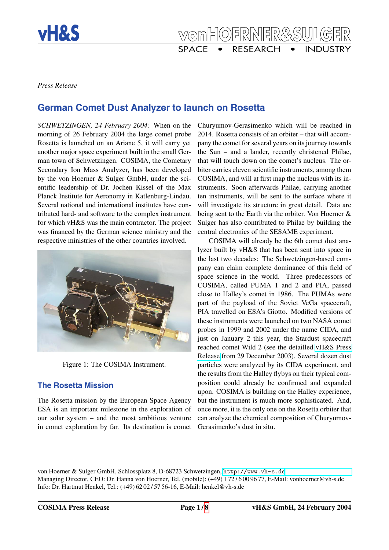

*Press Release*

# **German Comet Dust Analyzer to launch on Rosetta**

*SCHWETZINGEN, 24 February 2004:* When on the morning of 26 February 2004 the large comet probe Rosetta is launched on an Ariane 5, it will carry yet another major space experiment built in the small German town of Schwetzingen. COSIMA, the Cometary Secondary Ion Mass Analyzer, has been developed by the von Hoerner & Sulger GmbH, under the scientific leadership of Dr. Jochen Kissel of the Max Planck Institute for Aeronomy in Katlenburg-Lindau. Several national and international institutes have contributed hard- and software to the complex instrument for which vH&S was the main contractor. The project was financed by the German science ministry and the respective ministries of the other countries involved.



Figure 1: The COSIMA Instrument.

### **The Rosetta Mission**

The Rosetta mission by the European Space Agency ESA is an important milestone in the exploration of our solar system – and the most ambitious venture in comet exploration by far. Its destination is comet

Churyumov-Gerasimenko which will be reached in 2014. Rosetta consists of an orbiter – that will accompany the comet for several years on its journey towards the Sun – and a lander, recently christened Philae, that will touch down on the comet's nucleus. The orbiter carries eleven scientific instruments, among them COSIMA, and will at first map the nucleus with its instruments. Soon afterwards Philae, carrying another ten instruments, will be sent to the surface where it will investigate its structure in great detail. Data are being sent to the Earth via the orbiter. Von Hoerner & Sulger has also contributed to Philae by building the central electronics of the SESAME experiment.

COSIMA will already be the 6th comet dust analyzer built by vH&S that has been sent into space in the last two decades: The Schwetzingen-based company can claim complete dominance of this field of space science in the world. Three predecessors of COSIMA, called PUMA 1 and 2 and PIA, passed close to Halley's comet in 1986. The PUMAs were part of the payload of the Soviet VeGa spacecraft, PIA travelled on ESA's Giotto. Modified versions of these instruments were launched on two NASA comet probes in 1999 and 2002 under the name CIDA, and just on January 2 this year, the Stardust spacecraft reached comet Wild 2 (see the detailled [vH&S Press](http://vh-s.de/projects/cida-stardust/press/cida-031229-en.html) [Release](http://vh-s.de/projects/cida-stardust/press/cida-031229-en.html) from 29 December 2003). Several dozen dust particles were analyzed by its CIDA experiment, and the results from the Halley flybys on their typical composition could already be confirmed and expanded upon. COSIMA is building on the Halley experience, but the instrument is much more sophisticated. And, once more, it is the only one on the Rosetta orbiter that can analyze the chemical composition of Churyumov-Gerasimenko's dust in situ.

von Hoerner & Sulger GmbH, Schlossplatz 8, D-68723 Schwetzingen, <http://www.vh-s.de> Managing Director, CEO: Dr. Hanna von Hoerner, Tel. (mobile): (+49) 1 72 / 6 00 96 77, E-Mail: vonhoerner@vh-s.de Info: Dr. Hartmut Henkel, Tel.: (+49) 62 02 / 57 56-16, E-Mail: henkel@vh-s.de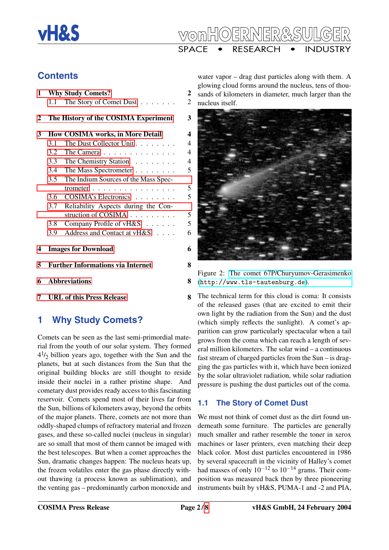



# **Contents**

| 1 |                                          | <b>Why Study Comets?</b>                      | $\boldsymbol{2}$ |
|---|------------------------------------------|-----------------------------------------------|------------------|
|   | 1.1                                      | The Story of Comet Dust                       | $\overline{2}$   |
| 2 |                                          | The History of the COSIMA Experiment          | 3                |
| 3 |                                          | How COSIMA works, in More Detail              | $\boldsymbol{4}$ |
|   | 3.1                                      | The Dust Collector Unit                       | $\overline{4}$   |
|   | 3.2                                      | The Camera                                    | $\overline{4}$   |
|   |                                          | 3.3 The Chemistry Station                     | $\overline{4}$   |
|   |                                          | 3.4 The Mass Spectrometer                     | 5                |
|   | 3.5                                      | The Indium Sources of the Mass Spec-          |                  |
|   |                                          | trometer $\ldots \ldots \ldots \ldots \ldots$ | 5                |
|   | 3.6                                      | COSIMA's Electronics                          | 5                |
|   | 3.7                                      | Reliability Aspects during the Con-           |                  |
|   |                                          | struction of COSIMA                           | 5                |
|   | 3.8                                      | Company Profile of vH&S                       | 5                |
|   | 3.9                                      | Address and Contact at vH&S                   | 6                |
| 4 |                                          | <b>Images for Download</b>                    | 6                |
| 5 | <b>Further Informations via Internet</b> |                                               | 8                |
| 6 |                                          | <b>Abbreviations</b>                          | 8                |
| 7 |                                          | <b>URL of this Press Release</b>              | 8                |

# <span id="page-1-0"></span>**1 Why Study Comets?**

Comets can be seen as the last semi-primordial material from the youth of our solar system. They formed  $4\frac{1}{2}$  billion years ago, together with the Sun and the planets, but at such distances from the Sun that the original building blocks are still thought to reside inside their nuclei in a rather pristine shape. And cometary dust provides ready access to this fascinating reservoir. Comets spend most of their lives far from the Sun, billions of kilometers away, beyond the orbits of the major planets. There, comets are not more than oddly-shaped clumps of refractory material and frozen gases, and these so-called nuclei (nucleus in singular) are so small that most of them cannot be imaged with the best telescopes. But when a comet approaches the Sun, dramatic changes happen: The nucleus heats up, the frozen volatiles enter the gas phase directly without thawing (a process known as sublimation), and the venting gas – predominantly carbon monoxide and

water vapor – drag dust particles along with them. A glowing cloud forms around the nucleus, tens of thousands of kilometers in diameter, much larger than the nucleus itself.



Figure 2: [The comet 67P/Churyumov-Gerasimenko](http://www.tls-tautenburg.de/research/gallery/english/sonnensystem.html#cg) (<http://www.tls-tautenburg.de>).

### The technical term for this cloud is coma: It consists of the released gases (that are excited to emit their own light by the radiation from the Sun) and the dust (which simply reflects the sunlight). A comet's apparition can grow particularly spectacular when a tail grows from the coma which can reach a length of several million kilometers. The solar wind – a continuous fast stream of charged particles from the Sun – is dragging the gas particles with it, which have been ionized by the solar ultraviolet radiation, while solar radiation pressure is pushing the dust particles out of the coma.

### <span id="page-1-1"></span>**1.1 The Story of Comet Dust**

We must not think of comet dust as the dirt found underneath some furniture. The particles are generally much smaller and rather resemble the toner in xerox machines or laser printers, even matching their deep black color. Most dust particles encountered in 1986 by several spacecraft in the vicinity of Halley's comet had masses of only  $10^{-12}$  to  $10^{-14}$  grams. Their composition was measured back then by three pioneering instruments built by vH&S, PUMA-1 and -2 and PIA,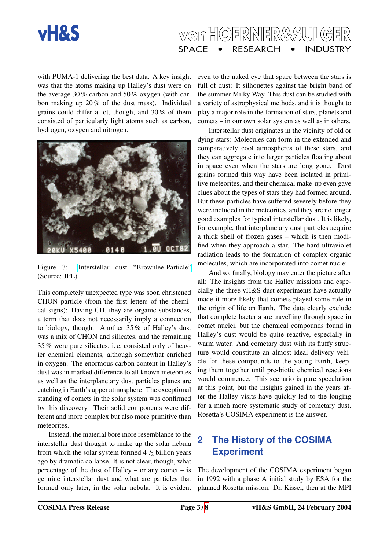



with PUMA-1 delivering the best data. A key insight was that the atoms making up Halley's dust were on the average 30 % carbon and 50 % oxygen (with carbon making up  $20\%$  of the dust mass). Individual grains could differ a lot, though, and 30 % of them consisted of particularly light atoms such as carbon, hydrogen, oxygen and nitrogen.



Figure 3: [Interstellar dust "Brownlee-Particle"](http://www.windows.ucar.edu/tour/link=/comets/comet_composition.html) (Source: JPL).

This completely unexpected type was soon christened CHON particle (from the first letters of the chemical signs): Having CH, they are organic substances, a term that does not necessarily imply a connection to biology, though. Another 35 % of Halley's dust was a mix of CHON and silicates, and the remaining 35 % were pure silicates, i. e. consisted only of heavier chemical elements, although somewhat enriched in oxygen. The enormous carbon content in Halley's dust was in marked difference to all known meteorites as well as the interplanetary dust particles planes are catching in Earth's upper atmosphere: The exceptional standing of comets in the solar system was confirmed by this discovery. Their solid components were different and more complex but also more primitive than meteorites.

Instead, the material bore more resemblance to the interstellar dust thought to make up the solar nebula from which the solar system formed  $4\frac{1}{2}$  billion years ago by dramatic collapse. It is not clear, though, what percentage of the dust of Halley – or any comet – is genuine interstellar dust and what are particles that formed only later, in the solar nebula. It is evident

even to the naked eye that space between the stars is full of dust: It silhouettes against the bright band of the summer Milky Way. This dust can be studied with a variety of astrophysical methods, and it is thought to play a major role in the formation of stars, planets and comets – in our own solar system as well as in others.

Interstellar dust originates in the vicinity of old or dying stars: Molecules can form in the extended and comparatively cool atmospheres of these stars, and they can aggregate into larger particles floating about in space even when the stars are long gone. Dust grains formed this way have been isolated in primitive meteorites, and their chemical make-up even gave clues about the types of stars they had formed around. But these particles have suffered severely before they were included in the meteorites, and they are no longer good examples for typical interstellar dust. It is likely, for example, that interplanetary dust particles acquire a thick shell of frozen gases – which is then modified when they approach a star. The hard ultraviolet radiation leads to the formation of complex organic molecules, which are incorporated into comet nuclei.

And so, finally, biology may enter the picture after all: The insights from the Halley missions and especially the three vH&S dust experiments have actually made it more likely that comets played some role in the origin of life on Earth. The data clearly exclude that complete bacteria are travelling through space in comet nuclei, but the chemical compounds found in Halley's dust would be quite reactive, especially in warm water. And cometary dust with its fluffy structure would constitute an almost ideal delivery vehicle for these compounds to the young Earth, keeping them together until pre-biotic chemical reactions would commence. This scenario is pure speculation at this point, but the insights gained in the years after the Halley visits have quickly led to the longing for a much more systematic study of cometary dust. Rosetta's COSIMA experiment is the answer.

# <span id="page-2-0"></span>**2 The History of the COSIMA Experiment**

The development of the COSIMA experiment began in 1992 with a phase A initial study by ESA for the planned Rosetta mission. Dr. Kissel, then at the MPI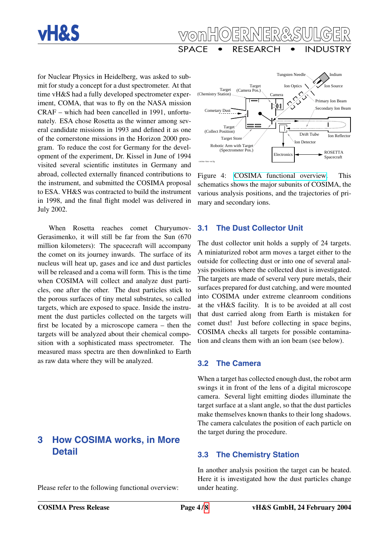



for Nuclear Physics in Heidelberg, was asked to submit for study a concept for a dust spectrometer. At that time vH&S had a fully developed spectrometer experiment, COMA, that was to fly on the NASA mission CRAF – which had been cancelled in 1991, unfortunately. ESA chose Rosetta as the winner among several candidate missions in 1993 and defined it as one of the cornerstone missions in the Horizon 2000 program. To reduce the cost for Germany for the development of the experiment, Dr. Kissel in June of 1994 visited several scientific institutes in Germany and abroad, collected externally financed contributions to the instrument, and submitted the COSIMA proposal to ESA. VH&S was contracted to build the instrument in 1998, and the final flight model was delivered in July 2002.

When Rosetta reaches comet Churyumov-Gerasimenko, it will still be far from the Sun (670 million kilometers): The spacecraft will accompany the comet on its journey inwards. The surface of its nucleus will heat up, gases and ice and dust particles will be released and a coma will form. This is the time when COSIMA will collect and analyze dust particles, one after the other. The dust particles stick to the porous surfaces of tiny metal substrates, so called targets, which are exposed to space. Inside the instrument the dust particles collected on the targets will first be located by a microscope camera – then the targets will be analyzed about their chemical composition with a sophisticated mass spectrometer. The measured mass spectra are then downlinked to Earth as raw data where they will be analyzed.

# <span id="page-3-0"></span>**3 How COSIMA works, in More Detail**

Please refer to the following functional overview:



Figure 4: [COSIMA functional overview.](http://www.vh-s.de/projects/cosima/press/cosima-func-en.pdf) This schematics shows the major subunits of COSIMA, the various analysis positions, and the trajectories of primary and secondary ions.

#### <span id="page-3-1"></span>**3.1 The Dust Collector Unit**

The dust collector unit holds a supply of 24 targets. A miniaturized robot arm moves a target either to the outside for collecting dust or into one of several analysis positions where the collected dust is investigated. The targets are made of several very pure metals, their surfaces prepared for dust catching, and were mounted into COSIMA under extreme cleanroom conditions at the vH&S facility. It is to be avoided at all cost that dust carried along from Earth is mistaken for comet dust! Just before collecting in space begins, COSIMA checks all targets for possible contamination and cleans them with an ion beam (see below).

#### <span id="page-3-2"></span>**3.2 The Camera**

When a target has collected enough dust, the robot arm swings it in front of the lens of a digital microscope camera. Several light emitting diodes illuminate the target surface at a slant angle, so that the dust particles make themselves known thanks to their long shadows. The camera calculates the position of each particle on the target during the procedure.

### <span id="page-3-3"></span>**3.3 The Chemistry Station**

In another analysis position the target can be heated. Here it is investigated how the dust particles change under heating.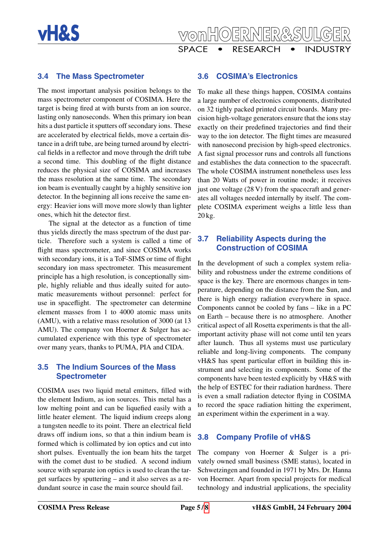



### <span id="page-4-0"></span>**3.4 The Mass Spectrometer**

The most important analysis position belongs to the mass spectrometer component of COSIMA. Here the target is being fired at with bursts from an ion source, lasting only nanoseconds. When this primary ion bean hits a dust particle it sputters off secondary ions. These are accelerated by electrical fields, move a certain distance in a drift tube, are being turned around by electrical fields in a reflector and move through the drift tube a second time. This doubling of the flight distance reduces the physical size of COSIMA and increases the mass resolution at the same time. The secondary ion beam is eventually caught by a highly sensitive ion detector. In the beginning all ions receive the same energy: Heavier ions will move more slowly than lighter ones, which hit the detector first.

The signal at the detector as a function of time thus yields directly the mass spectrum of the dust particle. Therefore such a system is called a time of flight mass spectrometer, and since COSIMA works with secondary ions, it is a ToF-SIMS or time of flight secondary ion mass spectrometer. This measurement principle has a high resolution, is conceptionally simple, highly reliable and thus ideally suited for automatic measurements without personnel: perfect for use in spaceflight. The spectrometer can determine element masses from 1 to 4000 atomic mass units (AMU), with a relative mass resolution of 3000 (at 13 AMU). The company von Hoerner & Sulger has accumulated experience with this type of spectrometer over many years, thanks to PUMA, PIA and CIDA.

#### <span id="page-4-1"></span>**3.5 The Indium Sources of the Mass Spectrometer**

COSIMA uses two liquid metal emitters, filled with the element Indium, as ion sources. This metal has a low melting point and can be liquefied easily with a little heater element. The liquid indium creeps along a tungsten needle to its point. There an electrical field draws off indium ions, so that a thin indium beam is formed which is collimated by ion optics and cut into short pulses. Eventually the ion beam hits the target with the comet dust to be studied. A second indium source with separate ion optics is used to clean the target surfaces by sputtering – and it also serves as a redundant source in case the main source should fail.

### <span id="page-4-2"></span>**3.6 COSIMA's Electronics**

To make all these things happen, COSIMA contains a large number of electronics components, distributed on 32 tighly packed printed circuit boards. Many precision high-voltage generators ensure that the ions stay exactly on their predefined trajectories and find their way to the ion detector. The flight times are measured with nanosecond precision by high-speed electronics. A fast signal processor runs and controls all functions and establishes the data connection to the spacecraft. The whole COSIMA instrument nonetheless uses less than 20 Watts of power in routine mode; it receives just one voltage (28 V) from the spacecraft and generates all voltages needed internally by itself. The complete COSIMA experiment weighs a little less than 20 kg.

### <span id="page-4-3"></span>**3.7 Reliability Aspects during the Construction of COSIMA**

In the development of such a complex system reliability and robustness under the extreme conditions of space is the key. There are enormous changes in temperature, depending on the distance from the Sun, and there is high energy radiation everywhere in space. Components cannot be cooled by fans – like in a PC on Earth – because there is no atmosphere. Another critical aspect of all Rosetta experiments is that the allimportant activity phase will not come until ten years after launch. Thus all systems must use particulary reliable and long-living components. The company vH&S has spent particular effort in building this instrument and selecting its components. Some of the components have been tested explicitly by vH&S with the help of ESTEC for their radiation hardness. There is even a small radiation detector flying in COSIMA to record the space radiation hitting the experiment, an experiment within the experiment in a way.

#### <span id="page-4-4"></span>**3.8 Company Profile of vH&S**

The company von Hoerner & Sulger is a privately owned small business (SME status), located in Schwetzingen and founded in 1971 by Mrs. Dr. Hanna von Hoerner. Apart from special projects for medical technology and industrial applications, the speciality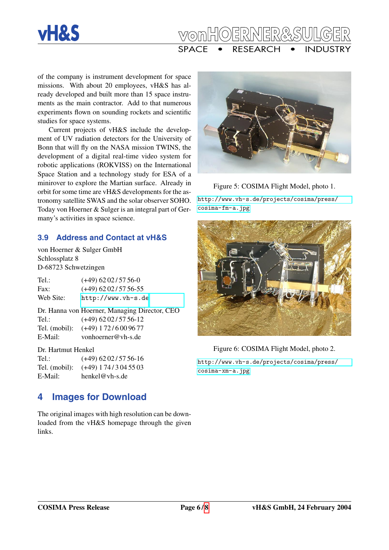



of the company is instrument development for space missions. With about 20 employees, vH&S has already developed and built more than 15 space instruments as the main contractor. Add to that numerous experiments flown on sounding rockets and scientific studies for space systems.

Current projects of vH&S include the development of UV radiation detectors for the University of Bonn that will fly on the NASA mission TWINS, the development of a digital real-time video system for robotic applications (ROKVISS) on the International Space Station and a technology study for ESA of a minirover to explore the Martian surface. Already in orbit for some time are vH&S developments for the astronomy satellite SWAS and the solar observer SOHO. Today von Hoerner & Sulger is an integral part of Germany's activities in space science.

### <span id="page-5-0"></span>**3.9 Address and Contact at vH&S**

von Hoerner & Sulger GmbH Schlossplatz 8 D-68723 Schwetzingen

Tel.:  $(+49)$  62 02/57 56-0 Fax: (+49) 62 02/57 56-55 Web Site: <http://www.vh-s.de>

Dr. Hanna von Hoerner, Managing Director, CEO Tel.:  $(+49)$  62 02/57 56-12 Tel. (mobil): (+49) 1 72 / 6 00 96 77 E-Mail: vonhoerner@vh-s.de

#### Dr. Hartmut Henkel

Tel.:  $(+49)$  62 02/57 56-16 Tel. (mobil): (+49) 1 74 / 3 04 55 03 E-Mail: henkel@vh-s.de

# <span id="page-5-1"></span>**4 Images for Download**

The original images with high resolution can be downloaded from the vH&S homepage through the given links.



Figure 5: COSIMA Flight Model, photo 1. [http://www.vh-s.de/projects/cosima/press/](http://www.vh-s.de/projects/cosima/press/cosima-fm-a.jpg) [cosima-fm-a.jpg](http://www.vh-s.de/projects/cosima/press/cosima-fm-a.jpg)



### Figure 6: COSIMA Flight Model, photo 2. [http://www.vh-s.de/projects/cosima/press/](http://www.vh-s.de/projects/cosima/press/cosima-xm-a.jpg) [cosima-xm-a.jpg](http://www.vh-s.de/projects/cosima/press/cosima-xm-a.jpg)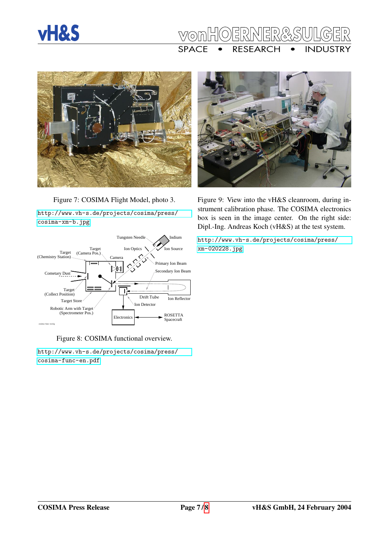

# ER SPACE • RESEARCH • INDUSTRY



Figure 7: COSIMA Flight Model, photo 3. [http://www.vh-s.de/projects/cosima/press/](http://www.vh-s.de/projects/cosima/press/cosima-xm-b.jpg) [cosima-xm-b.jpg](http://www.vh-s.de/projects/cosima/press/cosima-xm-b.jpg)



Figure 8: COSIMA functional overview.

[http://www.vh-s.de/projects/cosima/press/](http://www.vh-s.de/projects/cosima/press/cosima-func-en.pdf) [cosima-func-en.pdf](http://www.vh-s.de/projects/cosima/press/cosima-func-en.pdf)



Figure 9: View into the vH&S cleanroom, during instrument calibration phase. The COSIMA electronics box is seen in the image center. On the right side: Dipl.-Ing. Andreas Koch (vH&S) at the test system.

[http://www.vh-s.de/projects/cosima/press/](http://www.vh-s.de/projects/cosima/press/xm-020228.jpg) [xm-020228.jpg](http://www.vh-s.de/projects/cosima/press/xm-020228.jpg)